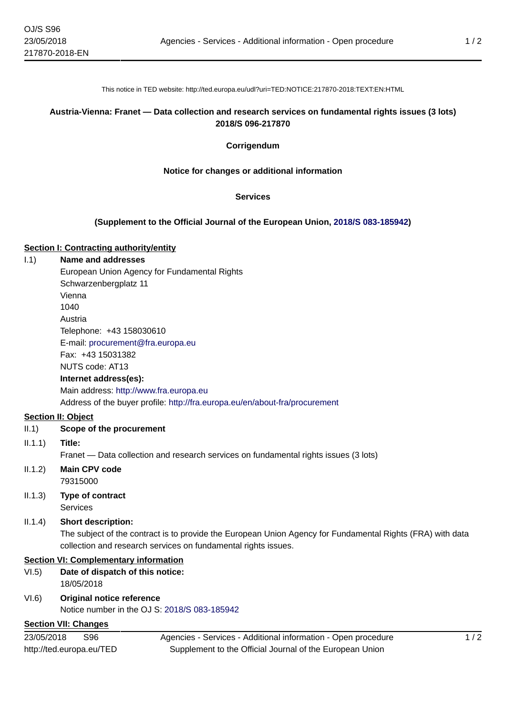This notice in TED website: http://ted.europa.eu/udl?uri=TED:NOTICE:217870-2018:TEXT:EN:HTML

## **Austria-Vienna: Franet — Data collection and research services on fundamental rights issues (3 lots) 2018/S 096-217870**

### **Corrigendum**

### **Notice for changes or additional information**

#### **Services**

### **(Supplement to the Official Journal of the European Union, [2018/S 083-185942\)](http://ted.europa.eu/udl?uri=TED:NOTICE:185942-2018:TEXT:EN:HTML)**

#### **Section I: Contracting authority/entity**

## I.1) **Name and addresses**

European Union Agency for Fundamental Rights Schwarzenbergplatz 11 Vienna 1040 Austria Telephone: +43 158030610 E-mail: [procurement@fra.europa.eu](mailto:procurement@fra.europa.eu)  Fax: +43 15031382 NUTS code: AT13 **Internet address(es):**

Main address:<http://www.fra.europa.eu> Address of the buyer profile: <http://fra.europa.eu/en/about-fra/procurement>

## **Section II: Object**

### II.1) **Scope of the procurement**

II.1.1) **Title:**

Franet — Data collection and research services on fundamental rights issues (3 lots)

- II.1.2) **Main CPV code** 79315000
- II.1.3) **Type of contract** Services

II.1.4) **Short description:**

The subject of the contract is to provide the European Union Agency for Fundamental Rights (FRA) with data collection and research services on fundamental rights issues.

#### **Section VI: Complementary information**

- VI.5) **Date of dispatch of this notice:** 18/05/2018
- VI.6) **Original notice reference** Notice number in the OJ S: [2018/S 083-185942](http://ted.europa.eu/udl?uri=TED:NOTICE:185942-2018:TEXT:EN:HTML)

### **Section VII: Changes**

23/05/2018 S96 http://ted.europa.eu/TED Agencies - Services - Additional information - Open procedure Supplement to the Official Journal of the European Union